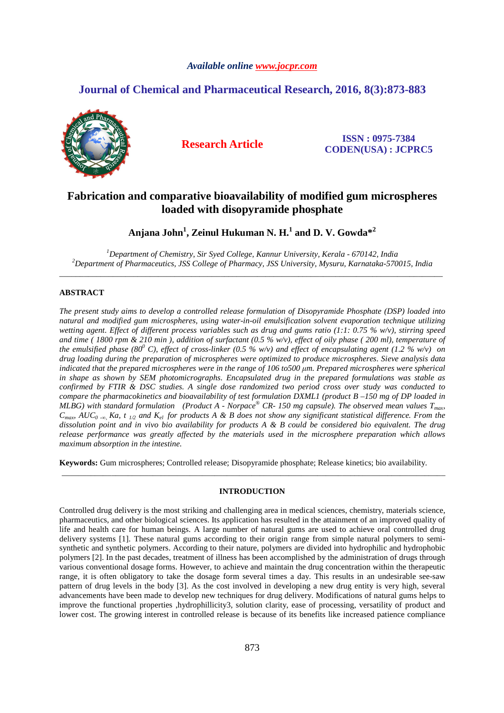# *Available online www.jocpr.com*

# **Journal of Chemical and Pharmaceutical Research, 2016, 8(3):873-883**



**Research Article ISSN : 0975-7384 CODEN(USA) : JCPRC5**

# **Fabrication and comparative bioavailability of modified gum microspheres loaded with disopyramide phosphate**

**Anjana John<sup>1</sup> , Zeinul Hukuman N. H.<sup>1</sup> and D. V. Gowda\*<sup>2</sup>**

*<sup>1</sup>Department of Chemistry, Sir Syed College, Kannur University, Kerala - 670142, India <sup>2</sup>Department of Pharmaceutics, JSS College of Pharmacy, JSS University, Mysuru, Karnataka-570015, India*  \_\_\_\_\_\_\_\_\_\_\_\_\_\_\_\_\_\_\_\_\_\_\_\_\_\_\_\_\_\_\_\_\_\_\_\_\_\_\_\_\_\_\_\_\_\_\_\_\_\_\_\_\_\_\_\_\_\_\_\_\_\_\_\_\_\_\_\_\_\_\_\_\_\_\_\_\_\_\_\_\_\_\_\_\_\_\_\_\_\_\_\_\_

# **ABSTRACT**

*The present study aims to develop a controlled release formulation of Disopyramide Phosphate (DSP) loaded into natural and modified gum microspheres, using water-in-oil emulsification solvent evaporation technique utilizing wetting agent. Effect of different process variables such as drug and gums ratio (1:1: 0.75 % w/v), stirring speed and time ( 1800 rpm & 210 min ), addition of surfactant (0.5 % w/v), effect of oily phase ( 200 ml), temperature of the emulsified phase (80<sup>0</sup> C), effect of cross-linker (0.5 % w/v) and effect of encapsulating agent (1.2 % w/v) on drug loading during the preparation of microspheres were optimized to produce microspheres. Sieve analysis data indicated that the prepared microspheres were in the range of 106 to500 µm. Prepared microspheres were spherical in shape as shown by SEM photomicrographs. Encapsulated drug in the prepared formulations was stable as confirmed by FTIR & DSC studies. A single dose randomized two period cross over study was conducted to compare the pharmacokinetics and bioavailability of test formulation DXML1 (product B –150 mg of DP loaded in MLBG*) with standard formulation (Product A - Norpace® CR-150 mg capsule). The observed mean values  $T_{max}$ ,  $C_{\text{max}}$   $AUC_{0}$  - $\alpha$  Ka, t <sub>1/2</sub> and K<sub>el</sub> for products A & B does not show any significant statistical difference. From the *dissolution point and in vivo bio availability for products A & B could be considered bio equivalent. The drug release performance was greatly affected by the materials used in the microsphere preparation which allows maximum absorption in the intestine.* 

**Keywords:** Gum microspheres; Controlled release; Disopyramide phosphate; Release kinetics; bio availability.

# **INTRODUCTION**

\_\_\_\_\_\_\_\_\_\_\_\_\_\_\_\_\_\_\_\_\_\_\_\_\_\_\_\_\_\_\_\_\_\_\_\_\_\_\_\_\_\_\_\_\_\_\_\_\_\_\_\_\_\_\_\_\_\_\_\_\_\_\_\_\_\_\_\_\_\_\_\_\_\_\_\_\_\_\_\_\_\_\_\_\_\_\_\_\_\_\_\_\_

Controlled drug delivery is the most striking and challenging area in medical sciences, chemistry, materials science, pharmaceutics, and other biological sciences. Its application has resulted in the attainment of an improved quality of life and health care for human beings. A large number of natural gums are used to achieve oral controlled drug delivery systems [1]. These natural gums according to their origin range from simple natural polymers to semisynthetic and synthetic polymers. According to their nature, polymers are divided into hydrophilic and hydrophobic polymers [2]. In the past decades, treatment of illness has been accomplished by the administration of drugs through various conventional dosage forms. However, to achieve and maintain the drug concentration within the therapeutic range, it is often obligatory to take the dosage form several times a day. This results in an undesirable see-saw pattern of drug levels in the body [3]. As the cost involved in developing a new drug entity is very high, several advancements have been made to develop new techniques for drug delivery. Modifications of natural gums helps to improve the functional properties ,hydrophillicity3, solution clarity, ease of processing, versatility of product and lower cost. The growing interest in controlled release is because of its benefits like increased patience compliance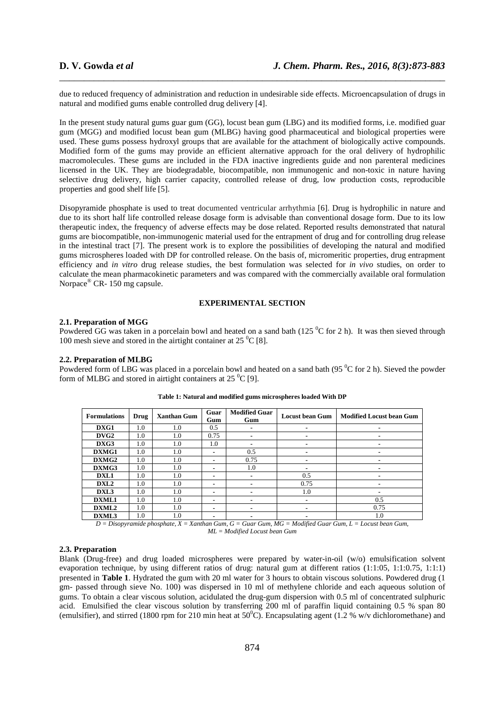due to reduced frequency of administration and reduction in undesirable side effects. Microencapsulation of drugs in natural and modified gums enable controlled drug delivery [4].

\_\_\_\_\_\_\_\_\_\_\_\_\_\_\_\_\_\_\_\_\_\_\_\_\_\_\_\_\_\_\_\_\_\_\_\_\_\_\_\_\_\_\_\_\_\_\_\_\_\_\_\_\_\_\_\_\_\_\_\_\_\_\_\_\_\_\_\_\_\_\_\_\_\_\_\_\_\_

In the present study natural gums guar gum (GG), locust bean gum (LBG) and its modified forms, i.e. modified guar gum (MGG) and modified locust bean gum (MLBG) having good pharmaceutical and biological properties were used. These gums possess hydroxyl groups that are available for the attachment of biologically active compounds. Modified form of the gums may provide an efficient alternative approach for the oral delivery of hydrophilic macromolecules. These gums are included in the FDA inactive ingredients guide and non parenteral medicines licensed in the UK. They are biodegradable, biocompatible, non immunogenic and non-toxic in nature having selective drug delivery, high carrier capacity, controlled release of drug, low production costs, reproducible properties and good shelf life [5].

Disopyramide phosphate is used to treat documented ventricular arrhythmia [6]. Drug is hydrophilic in nature and due to its short half life controlled release dosage form is advisable than conventional dosage form. Due to its low therapeutic index, the frequency of adverse effects may be dose related. Reported results demonstrated that natural gums are biocompatible, non-immunogenic material used for the entrapment of drug and for controlling drug release in the intestinal tract [7]. The present work is to explore the possibilities of developing the natural and modified gums microspheres loaded with DP for controlled release. On the basis of, micromeritic properties, drug entrapment efficiency and *in vitro* drug release studies, the best formulation was selected for *in vivo* studies, on order to calculate the mean pharmacokinetic parameters and was compared with the commercially available oral formulation Norpace® CR- 150 mg capsule.

# **EXPERIMENTAL SECTION**

# **2.1. Preparation of MGG**

Powdered GG was taken in a porcelain bowl and heated on a sand bath (125  $\rm{^0C}$  for 2 h). It was then sieved through 100 mesh sieve and stored in the airtight container at  $25\,^0C$  [8].

# **2.2. Preparation of MLBG**

Powdered form of LBG was placed in a porcelain bowl and heated on a sand bath (95 <sup>0</sup>C for 2 h). Sieved the powder form of MLBG and stored in airtight containers at  $25\,^0C$  [9].

| <b>Formulations</b>           | Drug            | <b>Xanthan Gum</b>           | Guar<br>Gum | <b>Modified Guar</b><br>Gum | <b>Locust bean Gum</b>                              | <b>Modified Locust bean Gum</b>   |
|-------------------------------|-----------------|------------------------------|-------------|-----------------------------|-----------------------------------------------------|-----------------------------------|
| DXG1                          | 1.0             | 1.0                          | 0.5         |                             |                                                     |                                   |
| DVG2                          | 1.0             | 1.0                          | 0.75        |                             | $\blacksquare$                                      | ۰                                 |
| DXG3                          | 1.0             | 1.0                          | 1.0         |                             |                                                     |                                   |
| DXMG1                         | 1.0             | 1.0                          |             | 0.5                         |                                                     |                                   |
| DXMG2                         | 1.0             | 1.0                          |             | 0.75                        | $\blacksquare$                                      | ۰                                 |
| DXMG3                         | 1.0             | 1.0                          |             | 1.0                         |                                                     |                                   |
| DXL1                          | 1.0             | 1.0                          | ۰           |                             | 0.5                                                 |                                   |
| DXL <sub>2</sub>              | 1.0             | 1.0                          |             |                             | 0.75                                                |                                   |
| DXL3                          | 1.0             | 1.0                          |             |                             | 1.0                                                 |                                   |
| DXML1                         | 1.0             | 1.0                          |             |                             | $\blacksquare$                                      | 0.5                               |
| DXML2                         | 1.0             | 1.0                          |             |                             |                                                     | 0.75                              |
| DXML3<br>$\sim$ $\sim$ $\sim$ | 1.0<br>$\cdots$ | 1.0<br>$-$<br>$-1$<br>$\sim$ | $\sim$      | $\sim$<br>$\sim$<br>$\sim$  | $\sim$ $\sim$ $\sim$ $\sim$<br>$\sim$ $\sim$ $\sim$ | 1.0<br>$\sim$<br>$\sim$<br>$\sim$ |

#### **Table 1: Natural and modified gums microspheres loaded With DP**

*D = Disopyramide phosphate, X = Xanthan Gum, G = Guar Gum, MG = Modified Guar Gum, L = Locust bean Gum, ML = Modified Locust bean Gum* 

# **2.3. Preparation**

Blank (Drug-free) and drug loaded microspheres were prepared by water-in-oil (w/o) emulsification solvent evaporation technique, by using different ratios of drug: natural gum at different ratios (1:1:05, 1:1:0.75, 1:1:1) presented in **Table 1**. Hydrated the gum with 20 ml water for 3 hours to obtain viscous solutions. Powdered drug (1 gm- passed through sieve No. 100) was dispersed in 10 ml of methylene chloride and each aqueous solution of gums. To obtain a clear viscous solution, acidulated the drug-gum dispersion with 0.5 ml of concentrated sulphuric acid. Emulsified the clear viscous solution by transferring 200 ml of paraffin liquid containing 0.5 % span 80 (emulsifier), and stirred (1800 rpm for 210 min heat at  $50^{\circ}$ C). Encapsulating agent (1.2 % w/v dichloromethane) and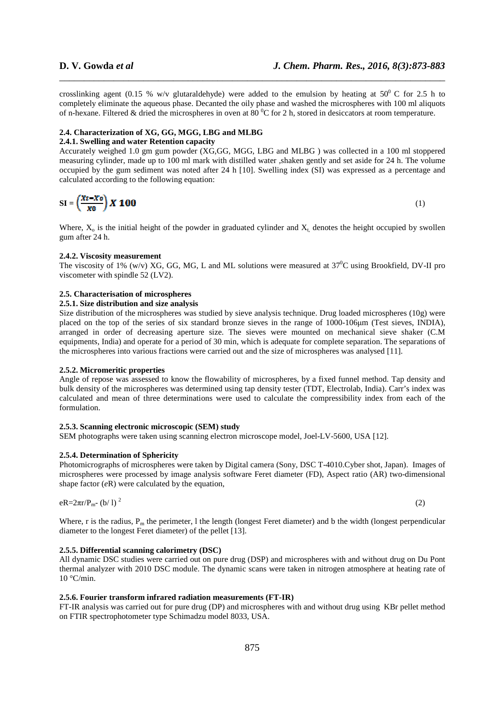crosslinking agent (0.15 % w/v glutaraldehyde) were added to the emulsion by heating at  $50^{\circ}$  C for 2.5 h to completely eliminate the aqueous phase. Decanted the oily phase and washed the microspheres with 100 ml aliquots of n-hexane. Filtered & dried the microspheres in oven at  $80^{\circ}$ C for 2 h, stored in desiccators at room temperature.

\_\_\_\_\_\_\_\_\_\_\_\_\_\_\_\_\_\_\_\_\_\_\_\_\_\_\_\_\_\_\_\_\_\_\_\_\_\_\_\_\_\_\_\_\_\_\_\_\_\_\_\_\_\_\_\_\_\_\_\_\_\_\_\_\_\_\_\_\_\_\_\_\_\_\_\_\_\_

# **2.4. Characterization of XG, GG, MGG, LBG and MLBG**

# **2.4.1. Swelling and water Retention capacity**

Accurately weighed 1.0 gm gum powder (XG,GG, MGG, LBG and MLBG ) was collected in a 100 ml stoppered measuring cylinder, made up to 100 ml mark with distilled water ,shaken gently and set aside for 24 h. The volume occupied by the gum sediment was noted after 24 h [10]. Swelling index (SI) was expressed as a percentage and calculated according to the following equation:

$$
SI = \left(\frac{Xt - X\sigma}{x\sigma}\right) X \cdot 100
$$
 (1)

Where,  $X_0$  is the initial height of the powder in graduated cylinder and  $X_1$ , denotes the height occupied by swollen gum after 24 h.

### **2.4.2. Viscosity measurement**

The viscosity of 1% (w/v) XG, GG, MG, L and ML solutions were measured at 37<sup>0</sup>C using Brookfield, DV-II pro viscometer with spindle 52 (LV2).

# **2.5. Characterisation of microspheres**

# **2.5.1. Size distribution and size analysis**

Size distribution of the microspheres was studied by sieve analysis technique. Drug loaded microspheres (10g) were placed on the top of the series of six standard bronze sieves in the range of 1000-106µm (Test sieves, INDIA), arranged in order of decreasing aperture size. The sieves were mounted on mechanical sieve shaker (C.M equipments, India) and operate for a period of 30 min, which is adequate for complete separation. The separations of the microspheres into various fractions were carried out and the size of microspheres was analysed [11].

#### **2.5.2. Micromeritic properties**

Angle of repose was assessed to know the flowability of microspheres, by a fixed funnel method. Tap density and bulk density of the microspheres was determined using tap density tester (TDT, Electrolab, India). Carr's index was calculated and mean of three determinations were used to calculate the compressibility index from each of the formulation.

# **2.5.3. Scanning electronic microscopic (SEM) study**

SEM photographs were taken using scanning electron microscope model, Joel-LV-5600, USA [12].

#### **2.5.4. Determination of Sphericity**

Photomicrographs of microspheres were taken by Digital camera (Sony, DSC T-4010.Cyber shot, Japan). Images of microspheres were processed by image analysis software Feret diameter (FD), Aspect ratio (AR) two-dimensional shape factor (*e*R) were calculated by the equation,

$$
eR = 2\pi r/P_{m} (b/l)^{2}
$$
 (2)

Where, r is the radius,  $P_m$  the perimeter, 1 the length (longest Feret diameter) and b the width (longest perpendicular diameter to the longest Feret diameter) of the pellet [13].

# **2.5.5. Differential scanning calorimetry (DSC)**

All dynamic DSC studies were carried out on pure drug (DSP) and microspheres with and without drug on Du Pont thermal analyzer with 2010 DSC module. The dynamic scans were taken in nitrogen atmosphere at heating rate of  $10 °C/min$ .

# **2.5.6. Fourier transform infrared radiation measurements (FT-IR)**

FT-IR analysis was carried out for pure drug (DP) and microspheres with and without drug using KBr pellet method on FTIR spectrophotometer type Schimadzu model 8033, USA.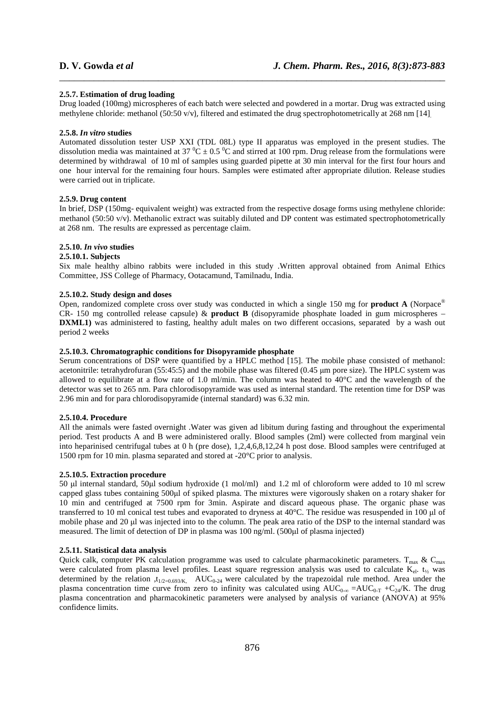# **2.5.7. Estimation of drug loading**

Drug loaded (100mg) microspheres of each batch were selected and powdered in a mortar. Drug was extracted using methylene chloride: methanol (50:50 v/v), filtered and estimated the drug spectrophotometrically at 268 nm [14].

\_\_\_\_\_\_\_\_\_\_\_\_\_\_\_\_\_\_\_\_\_\_\_\_\_\_\_\_\_\_\_\_\_\_\_\_\_\_\_\_\_\_\_\_\_\_\_\_\_\_\_\_\_\_\_\_\_\_\_\_\_\_\_\_\_\_\_\_\_\_\_\_\_\_\_\_\_\_

#### **2.5.8.** *In vitro* **studies**

Automated dissolution tester USP XXI (TDL 08L) type II apparatus was employed in the present studies. The dissolution media was maintained at 37  $^{\circ}$ C  $\pm$  0.5  $^{\circ}$ C and stirred at 100 rpm. Drug release from the formulations were determined by withdrawal of 10 ml of samples using guarded pipette at 30 min interval for the first four hours and one hour interval for the remaining four hours. Samples were estimated after appropriate dilution. Release studies were carried out in triplicate.

# **2.5.9. Drug content**

In brief, DSP (150mg- equivalent weight) was extracted from the respective dosage forms using methylene chloride: methanol (50:50 v/v). Methanolic extract was suitably diluted and DP content was estimated spectrophotometrically at 268 nm. The results are expressed as percentage claim.

# **2.5.10.** *In vivo* **studies**

# **2.5.10.1. Subjects**

Six male healthy albino rabbits were included in this study .Written approval obtained from Animal Ethics Committee, JSS College of Pharmacy, Ootacamund, Tamilnadu, India.

### **2.5.10.2. Study design and doses**

Open, randomized complete cross over study was conducted in which a single 150 mg for **product A** (Norpace® CR- 150 mg controlled release capsule) & **product B** (disopyramide phosphate loaded in gum microspheres – **DXML1**) was administered to fasting, healthy adult males on two different occasions, separated by a wash out period 2 weeks

#### **2.5.10.3. Chromatographic conditions for Disopyramide phosphate**

Serum concentrations of DSP were quantified by a HPLC method [15]. The mobile phase consisted of methanol: acetonitrile: tetrahydrofuran (55:45:5) and the mobile phase was filtered (0.45 µm pore size). The HPLC system was allowed to equilibrate at a flow rate of 1.0 ml/min. The column was heated to 40°C and the wavelength of the detector was set to 265 nm. Para chlorodisopyramide was used as internal standard. The retention time for DSP was 2.96 min and for para chlorodisopyramide (internal standard) was 6.32 min.

#### **2.5.10.4. Procedure**

All the animals were fasted overnight .Water was given ad libitum during fasting and throughout the experimental period. Test products A and B were administered orally. Blood samples (2ml) were collected from marginal vein into heparinised centrifugal tubes at 0 h (pre dose), 1,2,4,6,8,12,24 h post dose. Blood samples were centrifuged at 1500 rpm for 10 min. plasma separated and stored at -20°C prior to analysis.

#### **2.5.10.5. Extraction procedure**

50 µl internal standard, 50µl sodium hydroxide (1 mol/ml) and 1.2 ml of chloroform were added to 10 ml screw capped glass tubes containing 500µl of spiked plasma. The mixtures were vigorously shaken on a rotary shaker for 10 min and centrifuged at 7500 rpm for 3min. Aspirate and discard aqueous phase. The organic phase was transferred to 10 ml conical test tubes and evaporated to dryness at 40°C. The residue was resuspended in 100 µl of mobile phase and 20 µl was injected into to the column. The peak area ratio of the DSP to the internal standard was measured. The limit of detection of DP in plasma was 100 ng/ml. (500µl of plasma injected)

# **2.5.11. Statistical data analysis**

Quick calk, computer PK calculation programme was used to calculate pharmacokinetic parameters.  $T_{\text{max}}$  &  $C_{\text{max}}$ were calculated from plasma level profiles. Least square regression analysis was used to calculate  $K_{el}$ .  $t_{1/2}$  was determined by the relation  $t_{1/2=0.693/K}$ . AUC<sub>0-24</sub> were calculated by the trapezoidal rule method. Area under the plasma concentration time curve from zero to infinity was calculated using AUC<sub>0-∞</sub> =AUC<sub>0-T</sub> +C<sub>24</sub>/K. The drug plasma concentration and pharmacokinetic parameters were analysed by analysis of variance (ANOVA) at 95% confidence limits.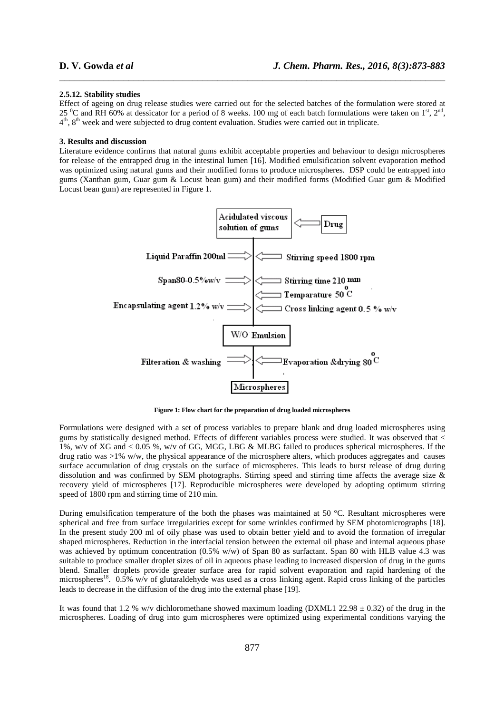#### **2.5.12. Stability studies**

Effect of ageing on drug release studies were carried out for the selected batches of the formulation were stored at 25  $^0C$  and RH 60% at dessicator for a period of 8 weeks. 100 mg of each batch formulations were taken on 1<sup>st</sup>, 2<sup>nd</sup>, 4<sup>th</sup>, 8<sup>th</sup> week and were subjected to drug content evaluation. Studies were carried out in triplicate.

\_\_\_\_\_\_\_\_\_\_\_\_\_\_\_\_\_\_\_\_\_\_\_\_\_\_\_\_\_\_\_\_\_\_\_\_\_\_\_\_\_\_\_\_\_\_\_\_\_\_\_\_\_\_\_\_\_\_\_\_\_\_\_\_\_\_\_\_\_\_\_\_\_\_\_\_\_\_

#### **3. Results and discussion**

Literature evidence confirms that natural gums exhibit acceptable properties and behaviour to design microspheres for release of the entrapped drug in the intestinal lumen [16]. Modified emulsification solvent evaporation method was optimized using natural gums and their modified forms to produce microspheres. DSP could be entrapped into gums (Xanthan gum, Guar gum & Locust bean gum) and their modified forms (Modified Guar gum & Modified Locust bean gum) are represented in Figure 1.



**Figure 1: Flow chart for the preparation of drug loaded microspheres** 

Formulations were designed with a set of process variables to prepare blank and drug loaded microspheres using gums by statistically designed method. Effects of different variables process were studied. It was observed that < 1%, w/v of XG and < 0.05 %, w/v of GG, MGG, LBG & MLBG failed to produces spherical microspheres. If the drug ratio was  $>1\%$  w/w, the physical appearance of the microsphere alters, which produces aggregates and causes surface accumulation of drug crystals on the surface of microspheres. This leads to burst release of drug during dissolution and was confirmed by SEM photographs. Stirring speed and stirring time affects the average size & recovery yield of microspheres [17]. Reproducible microspheres were developed by adopting optimum stirring speed of 1800 rpm and stirring time of 210 min.

During emulsification temperature of the both the phases was maintained at 50 °C. Resultant microspheres were spherical and free from surface irregularities except for some wrinkles confirmed by SEM photomicrographs [18]. In the present study 200 ml of oily phase was used to obtain better yield and to avoid the formation of irregular shaped microspheres. Reduction in the interfacial tension between the external oil phase and internal aqueous phase was achieved by optimum concentration (0.5% w/w) of Span 80 as surfactant. Span 80 with HLB value 4.3 was suitable to produce smaller droplet sizes of oil in aqueous phase leading to increased dispersion of drug in the gums blend. Smaller droplets provide greater surface area for rapid solvent evaporation and rapid hardening of the microspheres<sup>18</sup>. 0.5% w/v of glutaraldehyde was used as a cross linking agent. Rapid cross linking of the particles leads to decrease in the diffusion of the drug into the external phase [19].

It was found that 1.2 % w/v dichloromethane showed maximum loading (DXML1 22.98  $\pm$  0.32) of the drug in the microspheres. Loading of drug into gum microspheres were optimized using experimental conditions varying the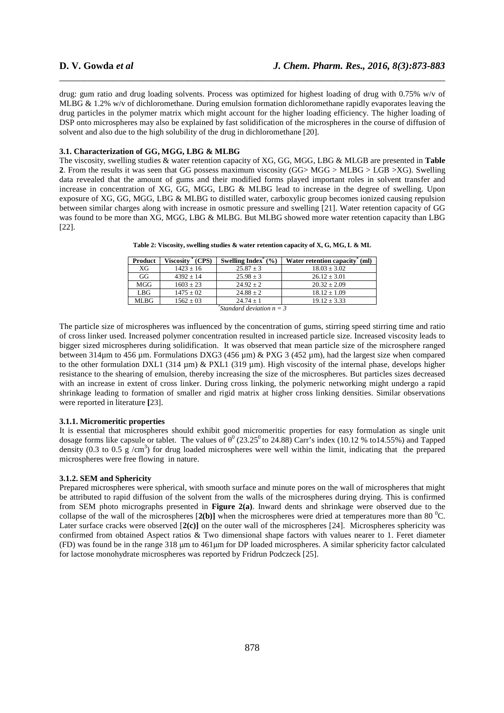drug: gum ratio and drug loading solvents. Process was optimized for highest loading of drug with 0.75% w/v of MLBG & 1.2% w/v of dichloromethane. During emulsion formation dichloromethane rapidly evaporates leaving the drug particles in the polymer matrix which might account for the higher loading efficiency. The higher loading of DSP onto microspheres may also be explained by fast solidification of the microspheres in the course of diffusion of solvent and also due to the high solubility of the drug in dichloromethane [20].

\_\_\_\_\_\_\_\_\_\_\_\_\_\_\_\_\_\_\_\_\_\_\_\_\_\_\_\_\_\_\_\_\_\_\_\_\_\_\_\_\_\_\_\_\_\_\_\_\_\_\_\_\_\_\_\_\_\_\_\_\_\_\_\_\_\_\_\_\_\_\_\_\_\_\_\_\_\_

### **3.1. Characterization of GG, MGG, LBG & MLBG**

The viscosity, swelling studies & water retention capacity of XG, GG, MGG, LBG & MLGB are presented in **Table 2**. From the results it was seen that GG possess maximum viscosity (GG> MGG > MLBG > LGB >XG). Swelling data revealed that the amount of gums and their modified forms played important roles in solvent transfer and increase in concentration of XG, GG, MGG, LBG & MLBG lead to increase in the degree of swelling. Upon exposure of XG, GG, MGG, LBG & MLBG to distilled water, carboxylic group becomes ionized causing repulsion between similar charges along with increase in osmotic pressure and swelling [21]. Water retention capacity of GG was found to be more than XG, MGG, LBG & MLBG. But MLBG showed more water retention capacity than LBG [22].

| Product                    | Viscosity <sup>*</sup> (CPS) | Swelling Index $^*(\%)$ | Water retention capacity" (ml) |
|----------------------------|------------------------------|-------------------------|--------------------------------|
| XG                         | $1423 \pm 16$                | $25.87 \pm 3$           | $18.03 \pm 3.02$               |
| GG                         | $4392 + 14$                  | $25.98 \pm 3$           | $26.12 + 3.01$                 |
| MGG                        | $1603 \pm 23$                | $24.92 + 2$             | $20.32 \pm 2.09$               |
| LBG                        | $1475 \pm 02$                | $24.88 \pm 2$           | $18.12 \pm 1.09$               |
| <b>MLBG</b>                | $1562 \pm 03$                | $24.74 + 1$             | $19.12 \pm 3.33$               |
| Standard deviation $n = 3$ |                              |                         |                                |

**Table 2: Viscosity, swelling studies & water retention capacity of X, G, MG, L & ML** 

The particle size of microspheres was influenced by the concentration of gums, stirring speed stirring time and ratio of cross linker used. Increased polymer concentration resulted in increased particle size. Increased viscosity leads to bigger sized microspheres during solidification. It was observed that mean particle size of the microsphere ranged between 314µm to 456 µm. Formulations DXG3 (456 µm) & PXG 3 (452 µm), had the largest size when compared to the other formulation DXL1 (314 µm) & PXL1 (319 µm). High viscosity of the internal phase, develops higher resistance to the shearing of emulsion, thereby increasing the size of the microspheres. But particles sizes decreased with an increase in extent of cross linker. During cross linking, the polymeric networking might undergo a rapid shrinkage leading to formation of smaller and rigid matrix at higher cross linking densities. Similar observations were reported in literature **[**23].

# **3.1.1. Micromeritic properties**

It is essential that microspheres should exhibit good micromeritic properties for easy formulation as single unit dosage forms like capsule or tablet. The values of  $\theta^0$  (23.25<sup>0</sup> to 24.88) Carr's index (10.12 % to14.55%) and Tapped density (0.3 to 0.5 g /cm<sup>3</sup>) for drug loaded microspheres were well within the limit, indicating that the prepared microspheres were free flowing in nature.

# **3.1.2. SEM and Sphericity**

Prepared microspheres were spherical, with smooth surface and minute pores on the wall of microspheres that might be attributed to rapid diffusion of the solvent from the walls of the microspheres during drying. This is confirmed from SEM photo micrographs presented in **Figure 2(a)**. Inward dents and shrinkage were observed due to the collapse of the wall of the microspheres  $[2(b)]$  when the microspheres were dried at temperatures more than 80 <sup>o</sup>C. Later surface cracks were observed [**2(c)]** on the outer wall of the microspheres [24]. Microspheres sphericity was confirmed from obtained Aspect ratios & Two dimensional shape factors with values nearer to 1. Feret diameter (FD) was found be in the range 318 µm to 461µm for DP loaded microspheres. A similar sphericity factor calculated for lactose monohydrate microspheres was reported by Fridrun Podczeck [25].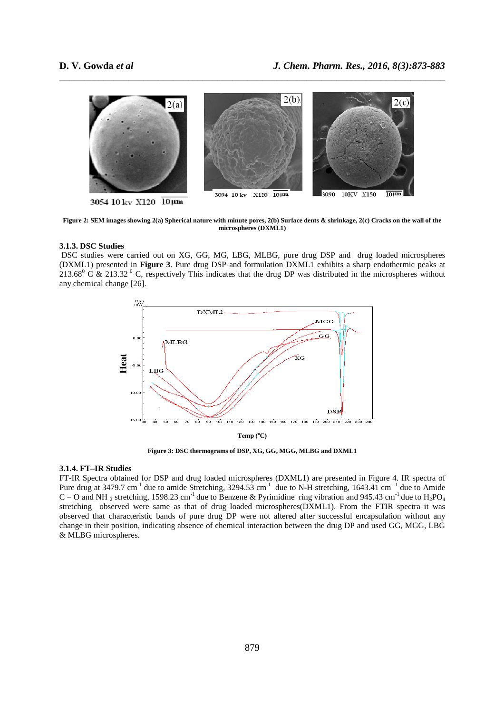

\_\_\_\_\_\_\_\_\_\_\_\_\_\_\_\_\_\_\_\_\_\_\_\_\_\_\_\_\_\_\_\_\_\_\_\_\_\_\_\_\_\_\_\_\_\_\_\_\_\_\_\_\_\_\_\_\_\_\_\_\_\_\_\_\_\_\_\_\_\_\_\_\_\_\_\_\_\_

**Figure 2: SEM images showing 2(a) Spherical nature with minute pores, 2(b) Surface dents & shrinkage, 2(c) Cracks on the wall of the microspheres (DXML1)** 

### **3.1.3. DSC Studies**

 DSC studies were carried out on XG, GG, MG, LBG, MLBG, pure drug DSP and drug loaded microspheres (DXML1) presented in **Figure 3**. Pure drug DSP and formulation DXML1 exhibits a sharp endothermic peaks at 213.68 $\degree$  C & 213.32 $\degree$  C, respectively This indicates that the drug DP was distributed in the microspheres without any chemical change [26].



**Figure 3: DSC thermograms of DSP, XG, GG, MGG, MLBG and DXML1** 

# **3.1.4. FT–IR Studies**

FT-IR Spectra obtained for DSP and drug loaded microspheres (DXML1) are presented in Figure 4. IR spectra of Pure drug at 3479.7 cm<sup>-1</sup> due to amide Stretching,  $3294.53$  cm<sup>-1</sup> due to N-H stretching,  $1643.41$  cm<sup>-1</sup> due to Amide  $C = O$  and NH<sub>2</sub> stretching, 1598.23 cm<sup>-1</sup> due to Benzene & Pyrimidine ring vibration and 945.43 cm<sup>-1</sup> due to H<sub>2</sub>PO<sub>4</sub> stretching observed were same as that of drug loaded microspheres(DXML1). From the FTIR spectra it was observed that characteristic bands of pure drug DP were not altered after successful encapsulation without any change in their position, indicating absence of chemical interaction between the drug DP and used GG, MGG, LBG <sup>15.00</sup><br> **Heat**<br>
<sup>10.00</sup><br>
<sup>15.00</sup><br>
<sup>15.00</sup><br>
<br> **3.1.4. FT-IR Studies**<br>
FT-IR Spectra obtained<br>
Pure drug at 3479.7 cm<sup>-1</sup><br>
C = O and NH<sub>2</sub> stretchir<br>
stretching observed we<br>
observed that characteri<br>
change in their positio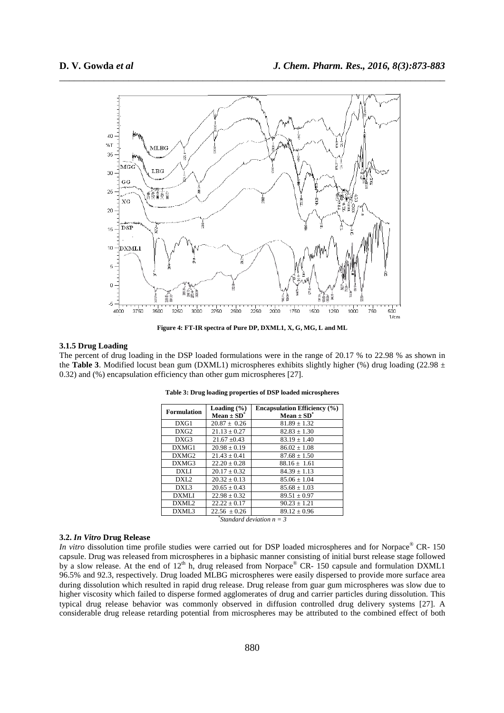

\_\_\_\_\_\_\_\_\_\_\_\_\_\_\_\_\_\_\_\_\_\_\_\_\_\_\_\_\_\_\_\_\_\_\_\_\_\_\_\_\_\_\_\_\_\_\_\_\_\_\_\_\_\_\_\_\_\_\_\_\_\_\_\_\_\_\_\_\_\_\_\_\_\_\_\_\_\_

**Figure 4: FT-IR spectra of Pure DP, DXML1, X, G, MG, L and ML** 

# **3.1.5 Drug Loading**

The percent of drug loading in the DSP loaded formulations were in the range of 20.17 % to 22.98 % as shown in the **Table 3**. Modified locust bean gum (DXML1) microspheres exhibits slightly higher (%) drug loading (22.98  $\pm$ 0.32) and (%) encapsulation efficiency than other gum microspheres [27].

| <b>Formulation</b> | Loading $(\% )$<br>Mean $\pm$ SD <sup>*</sup> | <b>Encapsulation Efficiency (%)</b><br>Mean $\pm$ SD <sup>*</sup> |
|--------------------|-----------------------------------------------|-------------------------------------------------------------------|
| DXG1               | $20.87 \pm 0.26$                              | $81.89 \pm 1.32$                                                  |
| DXG <sub>2</sub>   | $21.13 + 0.27$                                | $82.83 + 1.30$                                                    |
| DXG3               | $21.67 \pm 0.43$                              | $83.19 \pm 1.40$                                                  |
| DXMG1              | $20.98 + 0.19$                                | $86.02 + 1.08$                                                    |
| DXMG <sub>2</sub>  | $21.43 + 0.41$                                | $87.68 \pm 1.50$                                                  |
| DXMG3              | $22.20 + 0.28$                                | $88.16 + 1.61$                                                    |
| <b>DXLI</b>        | $20.17 \pm 0.32$                              | $84.39 \pm 1.13$                                                  |
| DXL <sub>2</sub>   | $20.32 + 0.13$                                | $85.06 + 1.04$                                                    |
| DXL <sub>3</sub>   | $20.65 + 0.43$                                | $85.68 \pm 1.03$                                                  |
| <b>DXMLI</b>       | $22.98 + 0.32$                                | $89.51 + 0.97$                                                    |
| DXML <sub>2</sub>  | $22.22 \pm 0.17$                              | $90.23 \pm 1.21$                                                  |
| DXML3              | $22.56 \pm 0.26$                              | $89.12 + 0.96$                                                    |
|                    |                                               | Standard deviation $n = 3$                                        |

**Table 3: Drug loading properties of DSP loaded microspheres** 

# **3.2.** *In Vitro* **Drug Release**

*In vitro* dissolution time profile studies were carried out for DSP loaded microspheres and for Norpace® CR- 150 capsule. Drug was released from microspheres in a biphasic manner consisting of initial burst release stage followed by a slow release. At the end of  $12<sup>th</sup>$  h, drug released from Norpace® CR- 150 capsule and formulation DXML1 96.5% and 92.3, respectively. Drug loaded MLBG microspheres were easily dispersed to provide more surface area during dissolution which resulted in rapid drug release. Drug release from guar gum microspheres was slow due to higher viscosity which failed to disperse formed agglomerates of drug and carrier particles during dissolution. This typical drug release behavior was commonly observed in diffusion controlled drug delivery systems [27]. A considerable drug release retarding potential from microspheres may be attributed to the combined effect of both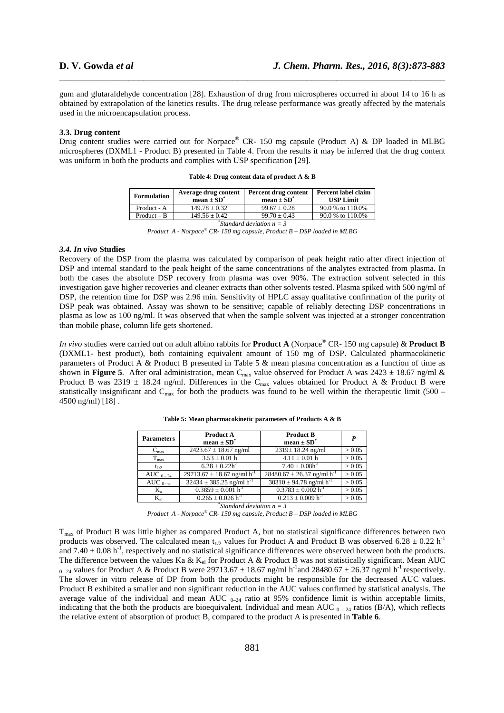gum and glutaraldehyde concentration [28]. Exhaustion of drug from microspheres occurred in about 14 to 16 h as obtained by extrapolation of the kinetics results. The drug release performance was greatly affected by the materials used in the microencapsulation process.

\_\_\_\_\_\_\_\_\_\_\_\_\_\_\_\_\_\_\_\_\_\_\_\_\_\_\_\_\_\_\_\_\_\_\_\_\_\_\_\_\_\_\_\_\_\_\_\_\_\_\_\_\_\_\_\_\_\_\_\_\_\_\_\_\_\_\_\_\_\_\_\_\_\_\_\_\_\_

#### **3.3. Drug content**

Drug content studies were carried out for Norpace® CR- 150 mg capsule (Product A) & DP loaded in MLBG microspheres (DXML1 - Product B) presented in Table 4. From the results it may be inferred that the drug content was uniform in both the products and complies with USP specification [29].

| <b>Formulation</b> | Average drug content<br>mean $\pm$ SD <sup>*</sup> | Percent drug content<br>mean $\pm$ SD <sup>*</sup> | Percent label claim<br><b>USP Limit</b> |
|--------------------|----------------------------------------------------|----------------------------------------------------|-----------------------------------------|
| Product - A        | $149.78 + 0.32$                                    | $99.67 + 0.28$                                     | 90.0 % to 110.0%                        |
| $Product - B$      | $149.56 \pm 0.42$                                  | $99.70 + 0.43$                                     | 90.0 % to 110.0%                        |
|                    |                                                    |                                                    |                                         |

| Table 4: Drug content data of product A & B |  |  |  |
|---------------------------------------------|--|--|--|
|---------------------------------------------|--|--|--|

*\* Standard deviation n = 3 Product A - Norpace® CR- 150 mg capsule, Product B – DSP loaded in MLBG*

#### *3.4. In vivo* **Studies**

Recovery of the DSP from the plasma was calculated by comparison of peak height ratio after direct injection of DSP and internal standard to the peak height of the same concentrations of the analytes extracted from plasma. In both the cases the absolute DSP recovery from plasma was over 90%. The extraction solvent selected in this investigation gave higher recoveries and cleaner extracts than other solvents tested. Plasma spiked with 500 ng/ml of DSP, the retention time for DSP was 2.96 min. Sensitivity of HPLC assay qualitative confirmation of the purity of DSP peak was obtained. Assay was shown to be sensitive; capable of reliably detecting DSP concentrations in plasma as low as 100 ng/ml. It was observed that when the sample solvent was injected at a stronger concentration than mobile phase, column life gets shortened.

*In vivo* studies were carried out on adult albino rabbits for **Product A** (Norpace® CR- 150 mg capsule) & **Product B** (DXML1- best product), both containing equivalent amount of 150 mg of DSP. Calculated pharmacokinetic parameters of Product A & Product B presented in Table 5 & mean plasma concentration as a function of time as shown in **Figure 5**. After oral administration, mean C<sub>max</sub> value observed for Product A was 2423  $\pm$  18.67 ng/ml & Product B was  $2319 \pm 18.24$  ng/ml. Differences in the C<sub>max</sub> values obtained for Product A & Product B were statistically insignificant and  $C_{\text{max}}$  for both the products was found to be well within the therapeutic limit (500 – 4500 ng/ml) [18] .

| <b>Parameters</b> | Product A<br>mean $\pm$ SD <sup>*</sup>    | <b>Product B</b><br>mean $\pm$ SD <sup>*</sup> | P      |
|-------------------|--------------------------------------------|------------------------------------------------|--------|
| $C_{\text{max}}$  | $2423.67 \pm 18.67$ ng/ml                  | $2319 \pm 18.24$ ng/ml                         | > 0.05 |
| $T_{\rm max}$     | $3.53 \pm 0.01$ h                          | $4.11 \pm 0.01$ h                              | > 0.05 |
| $t_{1/2}$         | $6.28 \pm 0.22 h^{-1}$                     | $7.40 \pm 0.08h^{-1}$                          | > 0.05 |
| AUC $_{0-24}$     | $29713.67 \pm 18.67$ ng/ml h <sup>-1</sup> | $28480.67 \pm 26.37$ ng/ml h <sup>-1</sup>     | > 0.05 |
| AUC $_{0-\infty}$ | $32434 \pm 385.25$ ng/ml h <sup>-1</sup>   | $30310 \pm 94.78$ ng/ml h <sup>-1</sup>        | > 0.05 |
| $K_{a}$           | $0.3859 \pm 0.001 \text{ h}^{-1}$          | $0.3783 \pm 0.002$ h <sup>-1</sup>             | > 0.05 |
| $K_{el}$          | $0.265 \pm 0.026$ h <sup>-1</sup>          | $0.213 \pm 0.009$ h <sup>-1</sup>              | > 0.05 |

**Table 5: Mean pharmacokinetic parameters of Products A & B** 

*\* Standard deviation n = 3 Product A - Norpace® CR- 150 mg capsule, Product B – DSP loaded in MLBG*

T<sub>max</sub> of Product B was little higher as compared Product A, but no statistical significance differences between two products was observed. The calculated mean t<sub>1/2</sub> values for Product A and Product B was observed 6.28  $\pm$  0.22 h<sup>-1</sup> and  $7.40 \pm 0.08$  h<sup>-1</sup>, respectively and no statistical significance differences were observed between both the products. The difference between the values Ka & K<sub>el</sub> for Product A & Product B was not statistically significant. Mean AUC  $_{0-24}$  values for Product A & Product B were 29713.67  $\pm$  18.67 ng/ml h<sup>-1</sup> and 28480.67  $\pm$  26.37 ng/ml h<sup>-1</sup> respectively. The slower in vitro release of DP from both the products might be responsible for the decreased AUC values. Product B exhibited a smaller and non significant reduction in the AUC values confirmed by statistical analysis. The average value of the individual and mean AUC  $_{0.24}$  ratio at 95% confidence limit is within acceptable limits, indicating that the both the products are bioequivalent. Individual and mean AUC  $_{0-24}$  ratios (B/A), which reflects the relative extent of absorption of product B, compared to the product A is presented in **Table 6**.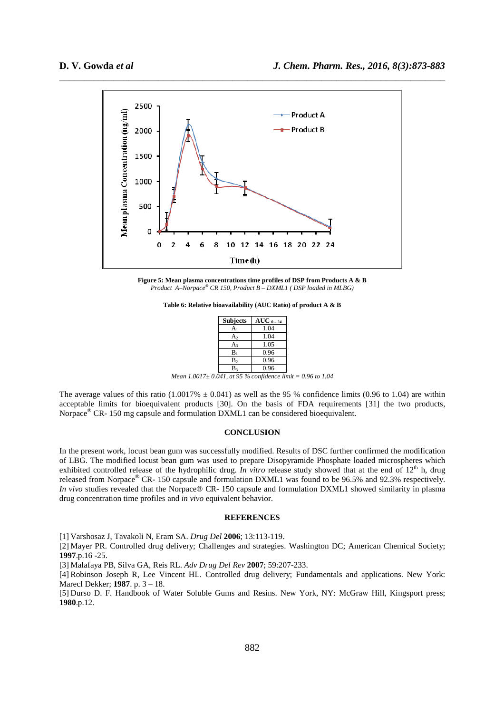

**Figure 5: Mean plasma concentrations time profiles of DSP from Products A & B**  *Product A–Norpace® CR 150, Product B – DXML1 ( DSP loaded in MLBG)* 

| <b>Subjects</b> | $AUC_{0-24}$ |
|-----------------|--------------|
| A۱              | 1.04         |
| A <sub>2</sub>  | 1.04         |
| Aз              | 1.05         |
| $B_1$           | 0.96         |
| B <sub>2</sub>  | 0.96         |
| B2              | 0.96         |

*Mean 1.0017± 0.041, at 95 % confidence limit = 0.96 to 1.04* 

The average values of this ratio (1.0017%  $\pm$  0.041) as well as the 95 % confidence limits (0.96 to 1.04) are within acceptable limits for bioequivalent products [30]. On the basis of FDA requirements [31] the two products, Norpace® CR- 150 mg capsule and formulation DXML1 can be considered bioequivalent.

# **CONCLUSION**

In the present work, locust bean gum was successfully modified. Results of DSC further confirmed the modification of LBG. The modified locust bean gum was used to prepare Disopyramide Phosphate loaded microspheres which exhibited controlled release of the hydrophilic drug. *In vitro* release study showed that at the end of 12<sup>th</sup> h, drug released from Norpace® CR- 150 capsule and formulation DXML1 was found to be 96.5% and 92.3% respectively. *In vivo* studies revealed that the Norpace® CR- 150 capsule and formulation DXML1 showed similarity in plasma drug concentration time profiles and *in vivo* equivalent behavior.

#### **REFERENCES**

[1] Varshosaz J, Tavakoli N, Eram SA. *Drug Del* **2006**; 13:113-119.

[2] Mayer PR. Controlled drug delivery; Challenges and strategies. Washington DC; American Chemical Society; **1997**.p.16 -25.

[3] Malafaya PB, Silva GA, Reis RL. *Adv Drug Del Rev* **2007**; 59:207-233.

[4] Robinson Joseph R, Lee Vincent HL. Controlled drug delivery; Fundamentals and applications. New York: Marecl Dekker; **1987**. p. 3 – 18.

[5] Durso D. F. Handbook of Water Soluble Gums and Resins. New York, NY: McGraw Hill, Kingsport press; **1980**.p.12.